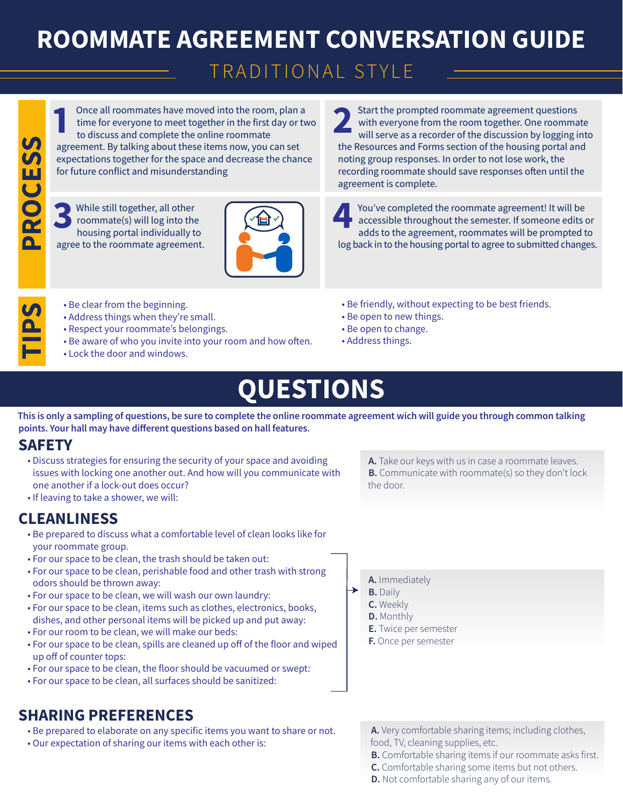# **ROOMMATE AGREEMENT CONVERSATION GUIDE**

## TRADITIONAL STYLE

Once all roommates have moved into the room, plan a time for everyone to meet together in the first day or two to discuss and complete the online roommate agreement. By talking about these items now, you can set expectations together for the space and decrease the chance for future conflict and misunderstanding Once all roommates have moved into the room, plan a<br>time for everyone to meet together in the first day or two<br>to discuss and complete the online roommate

PROCESS **PROCESS**

**TIPS**

While still together, all other roommate(s) will log into the While still together, all other<br>roommate(s) will log into the<br>housing portal individually to agree to the roommate agreement.



Start the prompted roommate agreement questions with everyone from the room together. One roommate will serve as a recorder of the discussion by logging into the Resources and Forms section of the housing portal and noting group responses. In order to not lose work, the recording roommate should save responses often until the agreement is complete.

You've completed the roommate agreement! It will be accessible throughout the semester. If someone edits or adds to the agreement, roommates will be prompted to log back in to the housing portal to agree to submitted changes.

- Be clear from the beginning.
- Address things when they're small.
- Respect your roommate's belongings.
- Be aware of who you invite into your room and how often.
- Lock the door and windows.
- Be friendly, without expecting to be best friends.
- Be open to new things.
- Be open to change.
- Address things.

## **QUESTIONS**

This is only a sampling of questions, be sure to complete the online roommate agreement wich will guide you through common talking points. Your hall may have different questions based on hall features.

#### **SAFETY**

- Discuss strategies for ensuring the security of your space and avoiding issues with locking one another out. And how will you communicate with one another if a lock-out does occur?
- . If leaving to take a shower, we will:

#### **CLEANLINESS**

- Be prepared to discuss what a comfortable level of clean looks like for your roommate group.
- For our space to be clean, the trash should be taken out:
- For our space to be clean, perishable food and other trash with strong odors should be thrown away:
- For our space to be clean, we will wash our own laundry:
- For our space to be clean, items such as clothes, electronics, books, dishes, and other personal items will be picked up and put away:
- For our room to be clean, we will make our beds:
- For our space to be clean, spills are cleaned up off of the floor and wiped up off of counter tops:
- For our space to be clean, the floor should be vacuumed or swept:
- For our space to be clean, all surfaces should be sanitized:

## **SHARING PREFERENCES**

- Be prepared to elaborate on any specific items you want to share or not.
- . Our expectation of sharing our items with each other is:

A. Take our keys with us in case a roommate leaves. **B.** Communicate with roommate(s) so they don't lock the door

- A. Immediately
- **B.** Daily
	- C. Weekly
	- **D.** Monthly
	- **E.** Twice per semester
	- F. Once per semester

A. Very comfortable sharing items; including clothes, food, TV, cleaning supplies, etc.

- B. Comfortable sharing items if our roommate asks first.
- C. Comfortable sharing some items but not others.
- **D.** Not comfortable sharing any of our items.